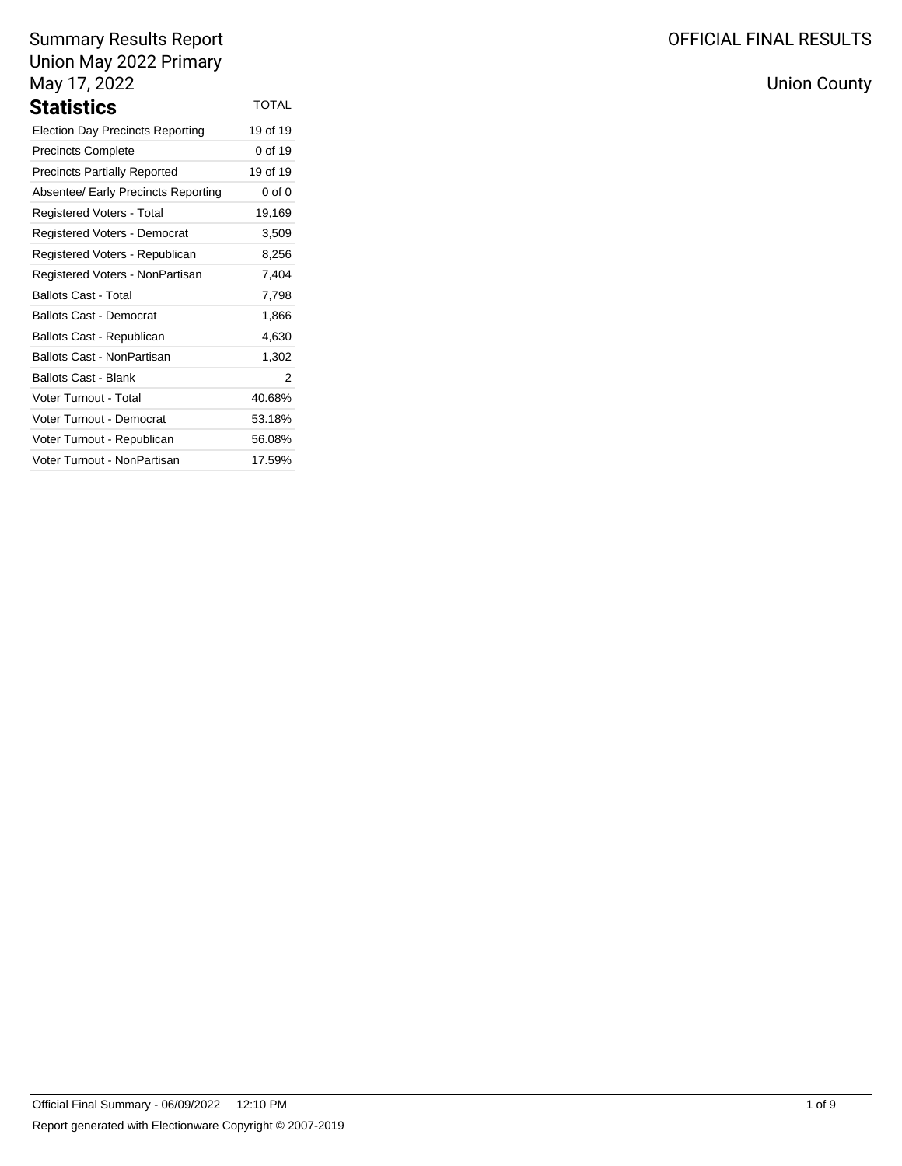| <b>Statistics</b>                       | <b>TOTAL</b> |
|-----------------------------------------|--------------|
| <b>Election Day Precincts Reporting</b> | 19 of 19     |
| <b>Precincts Complete</b>               | 0 of 19      |
| <b>Precincts Partially Reported</b>     | 19 of 19     |
| Absentee/ Early Precincts Reporting     | $0$ of $0$   |
| Registered Voters - Total               | 19,169       |
| Registered Voters - Democrat            | 3,509        |
| Registered Voters - Republican          | 8,256        |
| Registered Voters - NonPartisan         | 7,404        |
| <b>Ballots Cast - Total</b>             | 7,798        |
| <b>Ballots Cast - Democrat</b>          | 1,866        |
| Ballots Cast - Republican               | 4,630        |
| Ballots Cast - NonPartisan              | 1,302        |
| Ballots Cast - Blank                    | 2            |
| <b>Voter Turnout - Total</b>            | 40.68%       |
| Voter Turnout - Democrat                | 53.18%       |
| Voter Turnout - Republican              | 56.08%       |
| Voter Turnout - NonPartisan             | 17.59%       |

# OFFICIAL FINAL RESULTS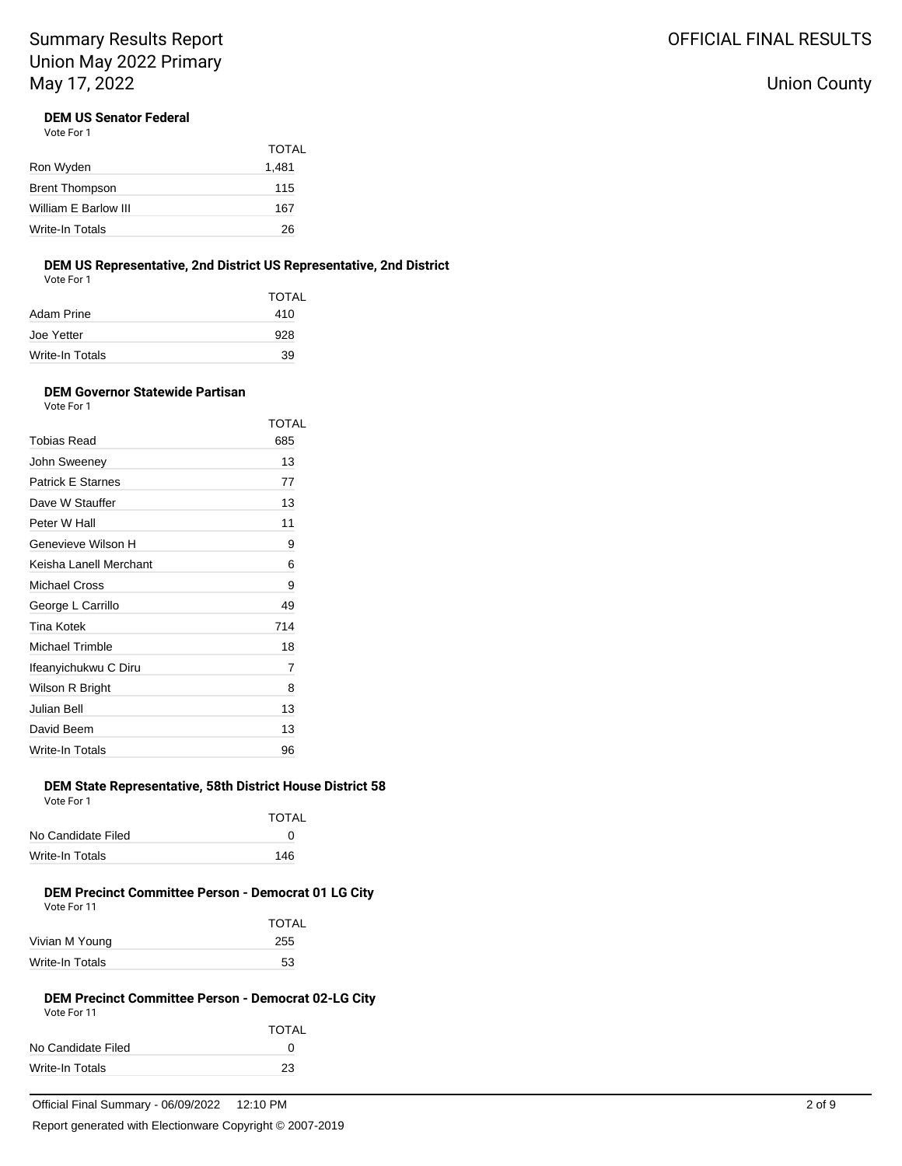## Union County

### **DEM US Senator Federal**

Vote For 1

|                       | <b>TOTAL</b> |
|-----------------------|--------------|
| Ron Wyden             | 1,481        |
| <b>Brent Thompson</b> | 115          |
| William E Barlow III  | 167          |
| Write-In Totals       | 26           |

### **DEM US Representative, 2nd District US Representative, 2nd District**

Vote For 1

|                 | TOTAL |
|-----------------|-------|
| Adam Prine      | 410   |
| Joe Yetter      | 928   |
| Write-In Totals | 39    |

#### **DEM Governor Statewide Partisan** Vote For 1

|                          | TOTAL |
|--------------------------|-------|
| <b>Tobias Read</b>       | 685   |
| John Sweeney             | 13    |
| <b>Patrick E Starnes</b> | 77    |
| Dave W Stauffer          | 13    |
| Peter W Hall             | 11    |
| Genevieve Wilson H       | 9     |
| Keisha Lanell Merchant   | 6     |
| <b>Michael Cross</b>     | 9     |
| George L Carrillo        | 49    |
| Tina Kotek               | 714   |
| <b>Michael Trimble</b>   | 18    |
| Ifeanyichukwu C Diru     | 7     |
| Wilson R Bright          | 8     |
| Julian Bell              | 13    |
| David Beem               | 13    |
| Write-In Totals          | 96    |

### **DEM State Representative, 58th District House District 58**

| Vote For 1         |       |
|--------------------|-------|
|                    | TOTAL |
| No Candidate Filed | ∩     |
| Write-In Totals    | 146   |

# **DEM Precinct Committee Person - Democrat 01 LG City**

| Vote For 11     |              |
|-----------------|--------------|
|                 | <b>TOTAL</b> |
| Vivian M Young  | 255          |
| Write-In Totals | 53           |

#### **DEM Precinct Committee Person - Democrat 02-LG City** Vote For 11

|                        | <b>TOTAL</b> |
|------------------------|--------------|
| No Candidate Filed     | O            |
| <b>Write-In Totals</b> | 23           |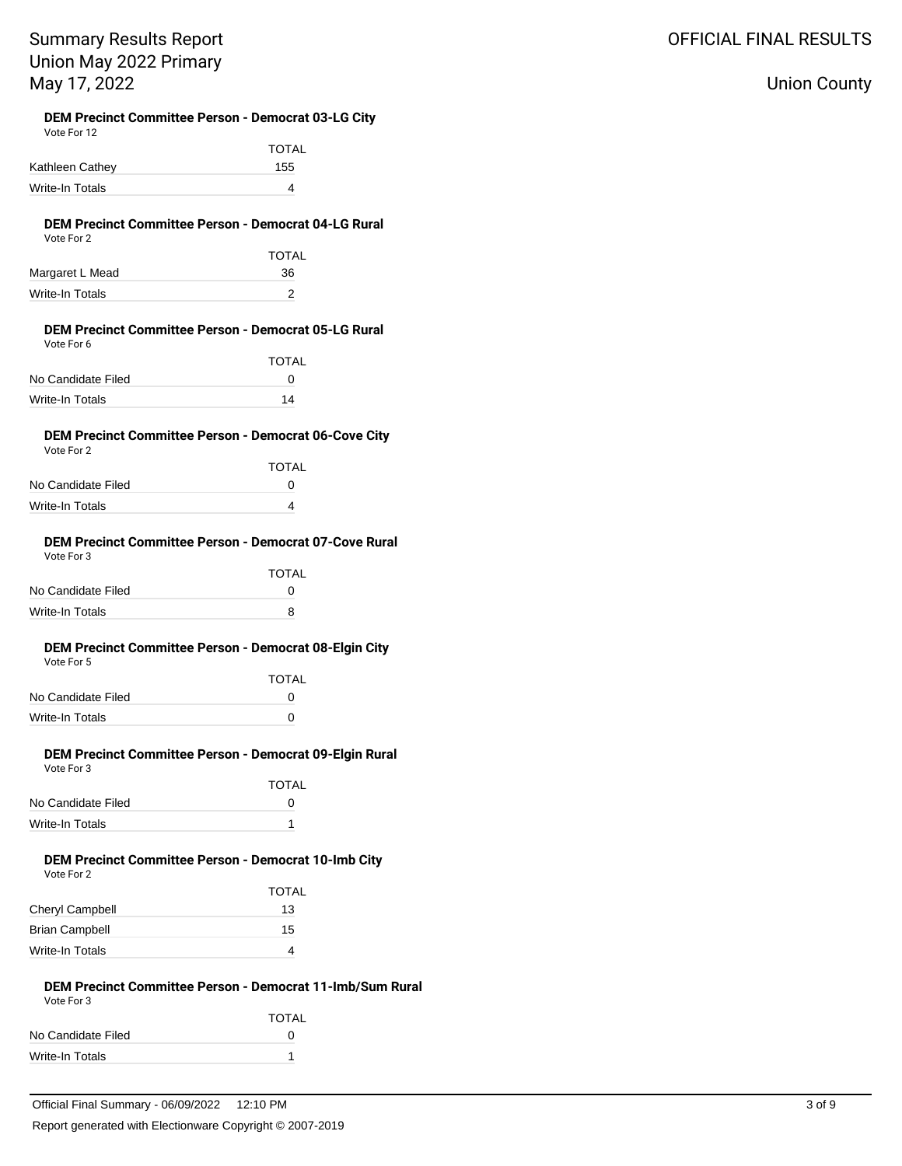## Union County

#### **DEM Precinct Committee Person - Democrat 03-LG City** Vote For 12

| VULTE FUITZ     |              |  |
|-----------------|--------------|--|
|                 | <b>TOTAL</b> |  |
| Kathleen Cathey | 155          |  |
| Write-In Totals | 4            |  |
|                 |              |  |

#### **DEM Precinct Committee Person - Democrat 04-LG Rural** Vote For 2

| $\mathbf{v}$ with $\mathbf{v}$ and $\mathbf{v}$ |              |
|-------------------------------------------------|--------------|
|                                                 | <b>TOTAL</b> |
| Margaret L Mead                                 | 36           |
| Write-In Totals                                 |              |
|                                                 |              |

#### **DEM Precinct Committee Person - Democrat 05-LG Rural** Vote For 6

|                    | <b>TOTAL</b> |
|--------------------|--------------|
| No Candidate Filed | O            |
| Write-In Totals    | 14           |
|                    |              |

#### **DEM Precinct Committee Person - Democrat 06-Cove City** Vote For 2

| .                  |              |
|--------------------|--------------|
|                    | <b>TOTAL</b> |
| No Candidate Filed | O            |
| Write-In Totals    |              |
|                    |              |

#### **DEM Precinct Committee Person - Democrat 07-Cove Rural** Vote For 3

| <u>vuusi ulu</u>   |              |
|--------------------|--------------|
|                    | <b>TOTAL</b> |
| No Candidate Filed | $^{\prime}$  |
| Write-In Totals    | 8            |
|                    |              |

#### **DEM Precinct Committee Person - Democrat 08-Elgin City** Vote For 5

| VULTUIJ            |       |
|--------------------|-------|
|                    | TOTAL |
| No Candidate Filed | O     |
| Write-In Totals    | O     |

#### **DEM Precinct Committee Person - Democrat 09-Elgin Rural** Vote For 3

|                    | <b>TOTAL</b> |
|--------------------|--------------|
| No Candidate Filed | O            |
| Write-In Totals    | 1            |
|                    |              |

#### **DEM Precinct Committee Person - Democrat 10-Imb City** Vote For 2

|                        | <b>TOTAL</b> |
|------------------------|--------------|
| <b>Cheryl Campbell</b> | 13           |
| <b>Brian Campbell</b>  | 15           |
| Write-In Totals        |              |
|                        |              |

#### **DEM Precinct Committee Person - Democrat 11-Imb/Sum Rural** Vote For 3

| VULTE FUI J            |              |
|------------------------|--------------|
|                        | <b>TOTAL</b> |
| No Candidate Filed     | $^{\circ}$   |
| <b>Write-In Totals</b> |              |
|                        |              |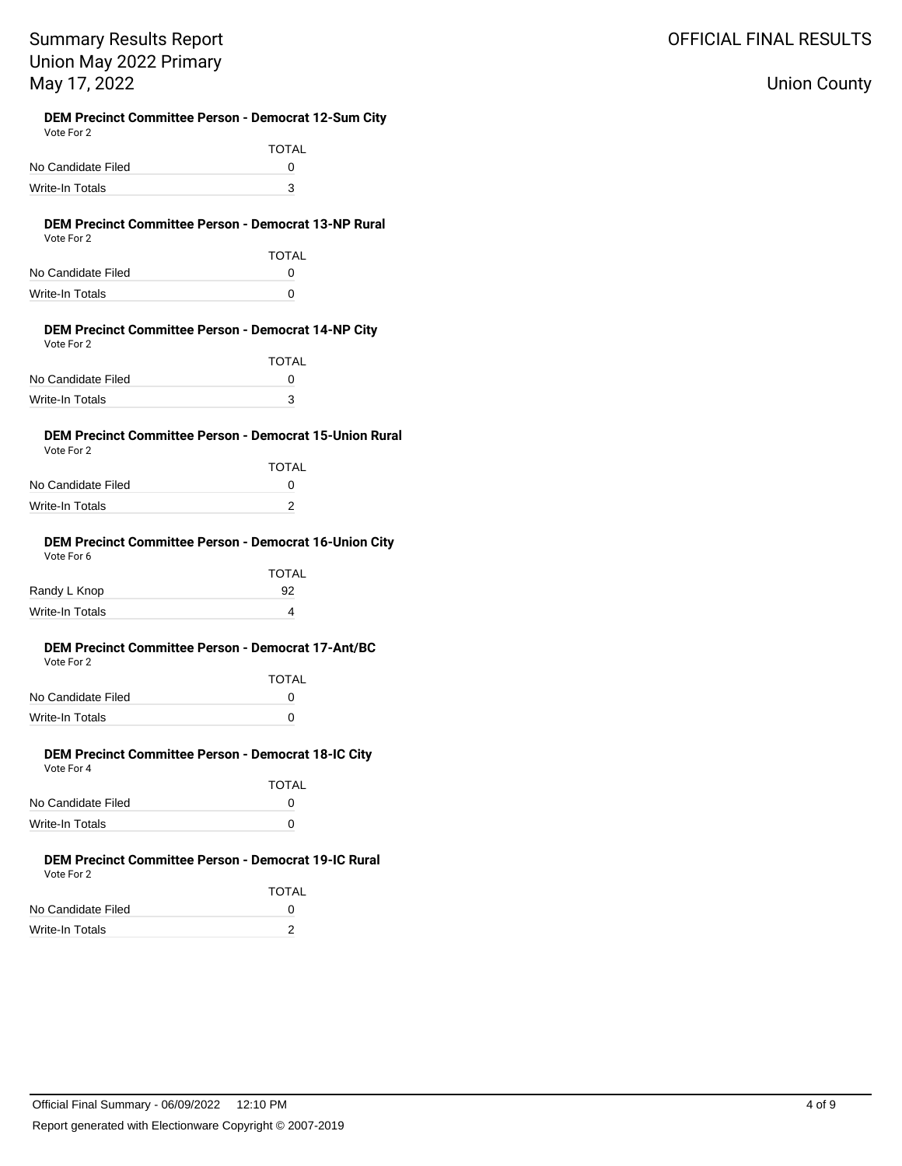### Union County

### **DEM Precinct Committee Person - Democrat 12-Sum City**

| Vote For 2         |            |
|--------------------|------------|
|                    | TOTAL      |
| No Candidate Filed | $^{\circ}$ |
| Write-In Totals    | 3          |

#### **DEM Precinct Committee Person - Democrat 13-NP Rural** Vote For 2

| $\cdots$           |              |
|--------------------|--------------|
|                    | <b>TOTAL</b> |
| No Candidate Filed | O            |
| Write-In Totals    | O            |
|                    |              |

#### **DEM Precinct Committee Person - Democrat 14-NP City** Vote For 2

| VOIE FOI Z         |              |
|--------------------|--------------|
|                    | <b>TOTAL</b> |
| No Candidate Filed | O            |
| Write-In Totals    | 3            |

#### **DEM Precinct Committee Person - Democrat 15-Union Rural** Vote For 2

|                    | TOTAL |
|--------------------|-------|
| No Candidate Filed | O     |
| Write-In Totals    |       |

#### **DEM Precinct Committee Person - Democrat 16-Union City** Vote For 6

| <b>TOTAL</b> |
|--------------|
| 92           |
| 4            |
|              |

#### **DEM Precinct Committee Person - Democrat 17-Ant/BC** Vote For 2

| VULE FULLE         |              |
|--------------------|--------------|
|                    | <b>TOTAL</b> |
| No Candidate Filed | n            |
| Write-In Totals    | n            |

#### **DEM Precinct Committee Person - Democrat 18-IC City** Vote For 4

|                    | <b>TOTAL</b> |
|--------------------|--------------|
| No Candidate Filed | $^{\circ}$   |
| Write-In Totals    | O            |
|                    |              |

#### **DEM Precinct Committee Person - Democrat 19-IC Rural** Vote For 2

|                    | <b>TOTAL</b> |
|--------------------|--------------|
| No Candidate Filed | O            |
| Write-In Totals    |              |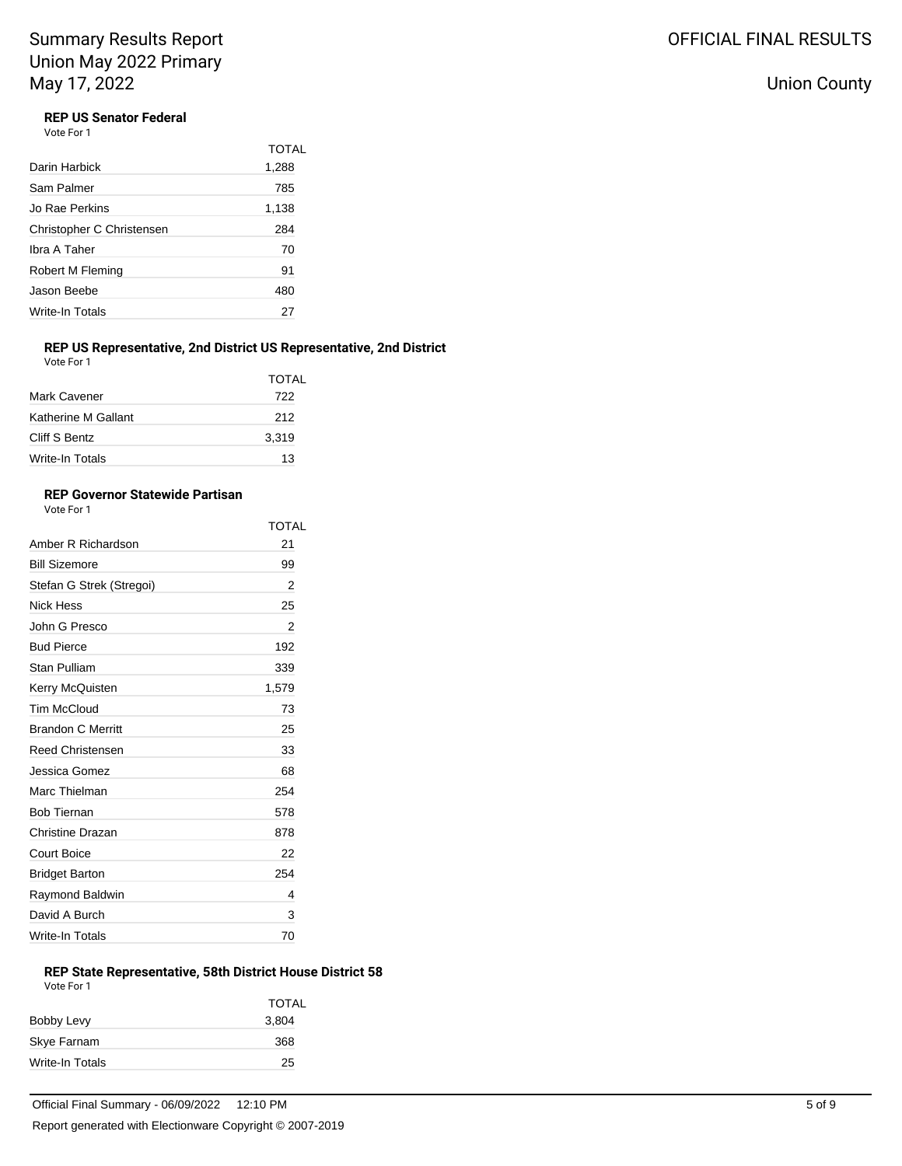### **REP US Senator Federal**

Vote For 1

|                           | <b>TOTAL</b> |
|---------------------------|--------------|
| Darin Harbick             | 1,288        |
| Sam Palmer                | 785          |
| Jo Rae Perkins            | 1,138        |
| Christopher C Christensen | 284          |
| Ibra A Taher              | 70           |
| Robert M Fleming          | 91           |
| Jason Beebe               | 480          |
| Write-In Totals           | 27           |
|                           |              |

### **REP US Representative, 2nd District US Representative, 2nd District**

| Vote For 1             |              |
|------------------------|--------------|
|                        | <b>TOTAL</b> |
| Mark Cavener           | 722          |
| Katherine M Gallant    | 212          |
| Cliff S Bentz          | 3,319        |
| <b>Write-In Totals</b> | 13           |

### **REP Governor Statewide Partisan**

Vote For 1

|                          | TOTAL |
|--------------------------|-------|
| Amber R Richardson       | 21    |
| <b>Bill Sizemore</b>     | 99    |
| Stefan G Strek (Stregoi) | 2     |
| Nick Hess                | 25    |
| John G Presco            | 2     |
| <b>Bud Pierce</b>        | 192   |
| Stan Pulliam             | 339   |
| Kerry McQuisten          | 1,579 |
| Tim McCloud              | 73    |
| <b>Brandon C Merritt</b> | 25    |
| <b>Reed Christensen</b>  | 33    |
| Jessica Gomez            | 68    |
| Marc Thielman            | 254   |
| <b>Bob Tiernan</b>       | 578   |
| Christine Drazan         | 878   |
| <b>Court Boice</b>       | 22    |
| <b>Bridget Barton</b>    | 254   |
| Raymond Baldwin          | 4     |
| David A Burch            | 3     |
| Write-In Totals          | 70    |

### **REP State Representative, 58th District House District 58**

| Vote For 1      |              |
|-----------------|--------------|
|                 | <b>TOTAL</b> |
| Bobby Levy      | 3,804        |
| Skye Farnam     | 368          |
| Write-In Totals | 25           |
|                 |              |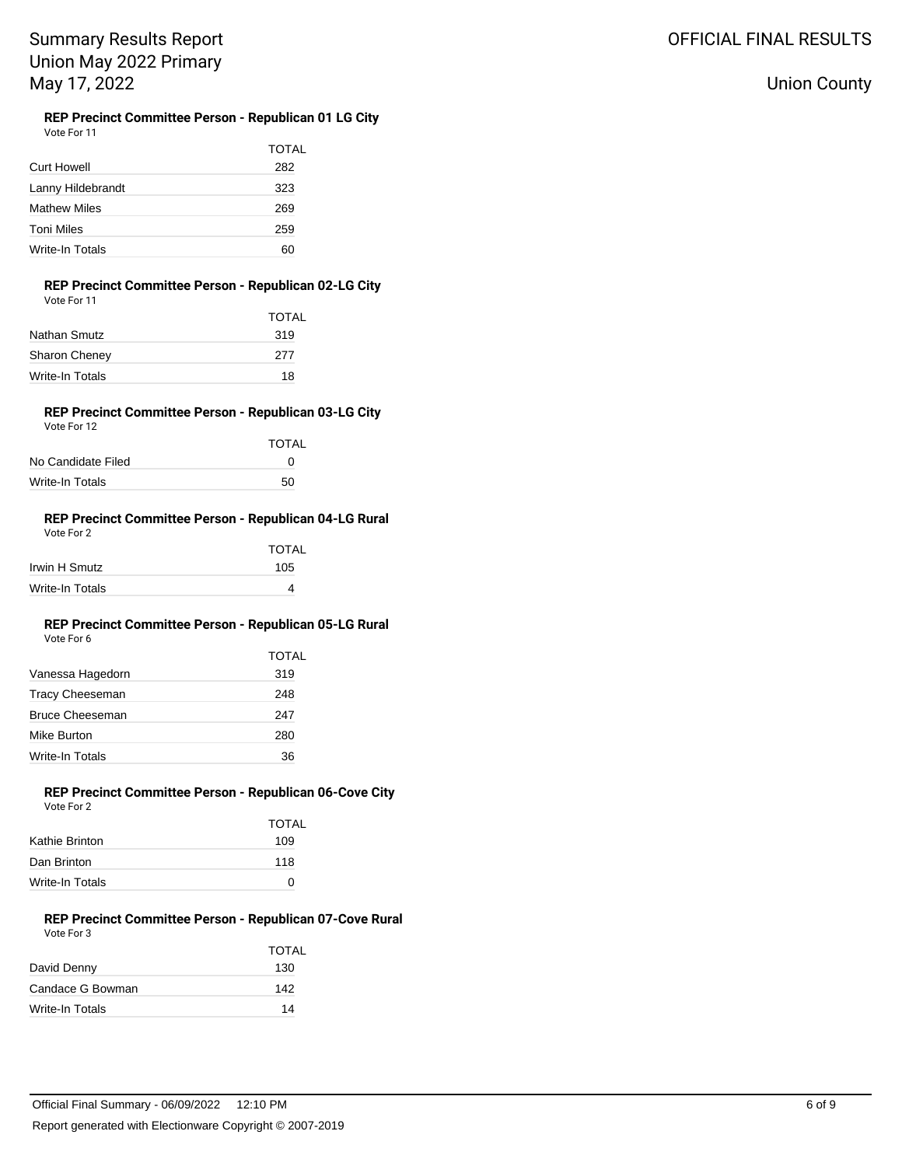Union County

# **REP Precinct Committee Person - Republican 01 LG City**

| Vote For 11 |  |  |  |
|-------------|--|--|--|
|             |  |  |  |

| <b>Curt Howell</b>  | TOTAL<br>282 |
|---------------------|--------------|
| Lanny Hildebrandt   | 323          |
| <b>Mathew Miles</b> | 269          |
| Toni Miles          | 259          |
| Write-In Totals     | 60           |

#### **REP Precinct Committee Person - Republican 02-LG City** Vote For 11

| <b>TOTAL</b> |
|--------------|
| 319          |
| 277          |
| 18           |
|              |

#### **REP Precinct Committee Person - Republican 03-LG City** Vote For 12

| VULCIUILL          |              |
|--------------------|--------------|
|                    | <b>TOTAL</b> |
| No Candidate Filed | n            |
| Write-In Totals    | 50           |

#### **REP Precinct Committee Person - Republican 04-LG Rural** Vote For 2

| VOLE FOL 2      |              |
|-----------------|--------------|
|                 | <b>TOTAL</b> |
| Irwin H Smutz   | 105          |
| Write-In Totals | 4            |

#### **REP Precinct Committee Person - Republican 05-LG Rural** Vote For 6

|                  | TOTAL |
|------------------|-------|
| Vanessa Hagedorn | 319   |
| Tracy Cheeseman  | 248   |
| Bruce Cheeseman  | 247   |
| Mike Burton      | 280   |
| Write-In Totals  | 36    |
|                  |       |

#### **REP Precinct Committee Person - Republican 06-Cove City** Vote For 2

| <b>TOTAL</b> |  |
|--------------|--|
| 109          |  |
| 118          |  |
| ∩            |  |
|              |  |

#### **REP Precinct Committee Person - Republican 07-Cove Rural** Vote For 3

| VULTE FUI J      |              |
|------------------|--------------|
|                  | <b>TOTAL</b> |
| David Denny      | 130          |
| Candace G Bowman | 142          |
| Write-In Totals  | 14           |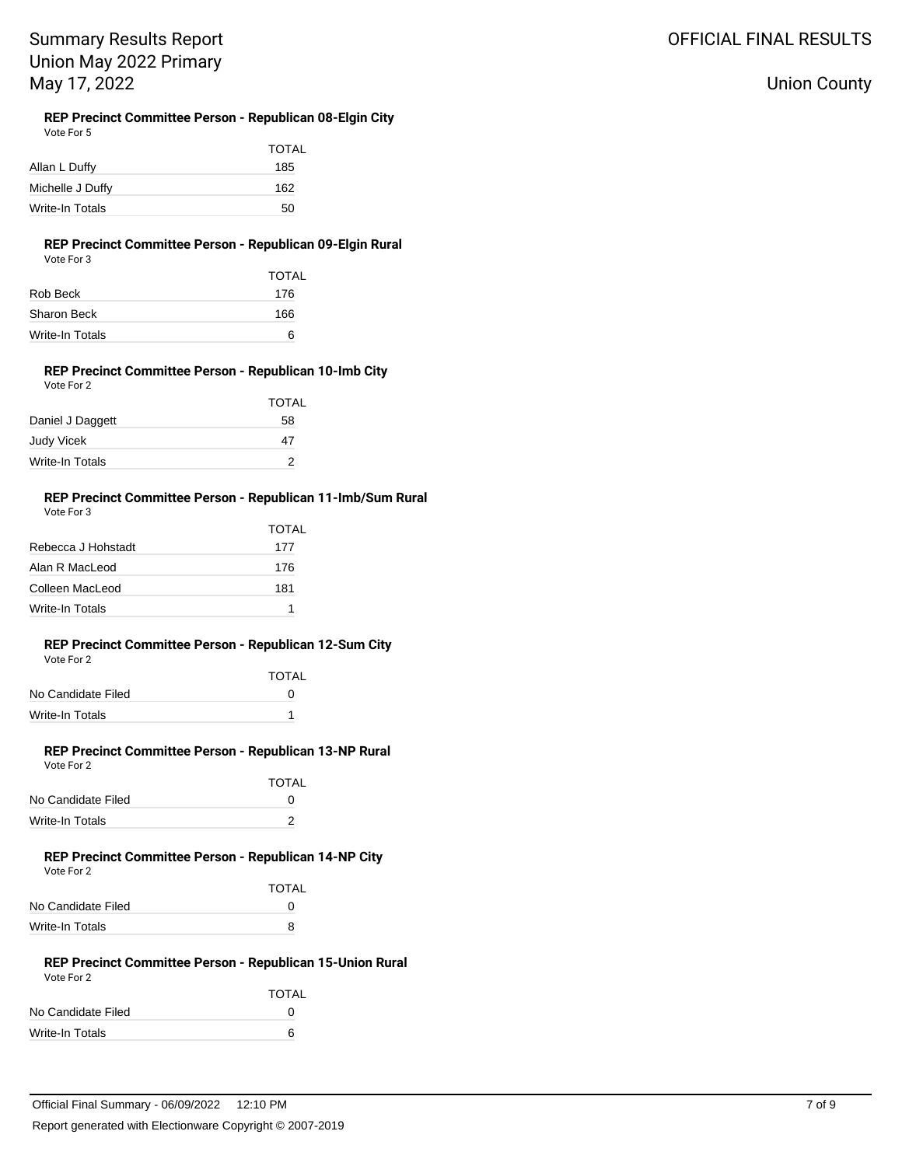#### **REP Precinct Committee Person - Republican 08-Elgin City** Vote For 5

| TOTAL |
|-------|
| 185   |
| 162   |
| 50    |
|       |

### **REP Precinct Committee Person - Republican 09-Elgin Rural**

| Vote For 3      |              |
|-----------------|--------------|
|                 | <b>TOTAL</b> |
| Rob Beck        | 176          |
| Sharon Beck     | 166          |
| Write-In Totals | 6            |

#### **REP Precinct Committee Person - Republican 10-Imb City** Vote For 2

|                   | <b>TOTAL</b> |
|-------------------|--------------|
| Daniel J Daggett  | 58           |
| <b>Judy Vicek</b> | 47           |
| Write-In Totals   |              |

#### **REP Precinct Committee Person - Republican 11-Imb/Sum Rural** Vote For 3

|                    | TOTAL |
|--------------------|-------|
| Rebecca J Hohstadt | 177   |
| Alan R MacLeod     | 176   |
| Colleen MacLeod    | 181   |
| Write-In Totals    |       |

#### **REP Precinct Committee Person - Republican 12-Sum City** Vote For 2

|                    | <b>TOTAL</b> |
|--------------------|--------------|
| No Candidate Filed | $^{\prime}$  |
| Write-In Totals    |              |

#### **REP Precinct Committee Person - Republican 13-NP Rural** Vote For 2

|                    | <b>TOTAL</b> |
|--------------------|--------------|
| No Candidate Filed | O            |
| Write-In Totals    |              |
|                    |              |

#### **REP Precinct Committee Person - Republican 14-NP City** Vote For 2

|                    | <b>TOTAL</b> |
|--------------------|--------------|
| No Candidate Filed | $^{\prime}$  |
| Write-In Totals    | я            |

#### **REP Precinct Committee Person - Republican 15-Union Rural** Vote For 2

|                    | <b>TOTAL</b> |
|--------------------|--------------|
| No Candidate Filed | $\mathbf{U}$ |
| Write-In Totals    | 6            |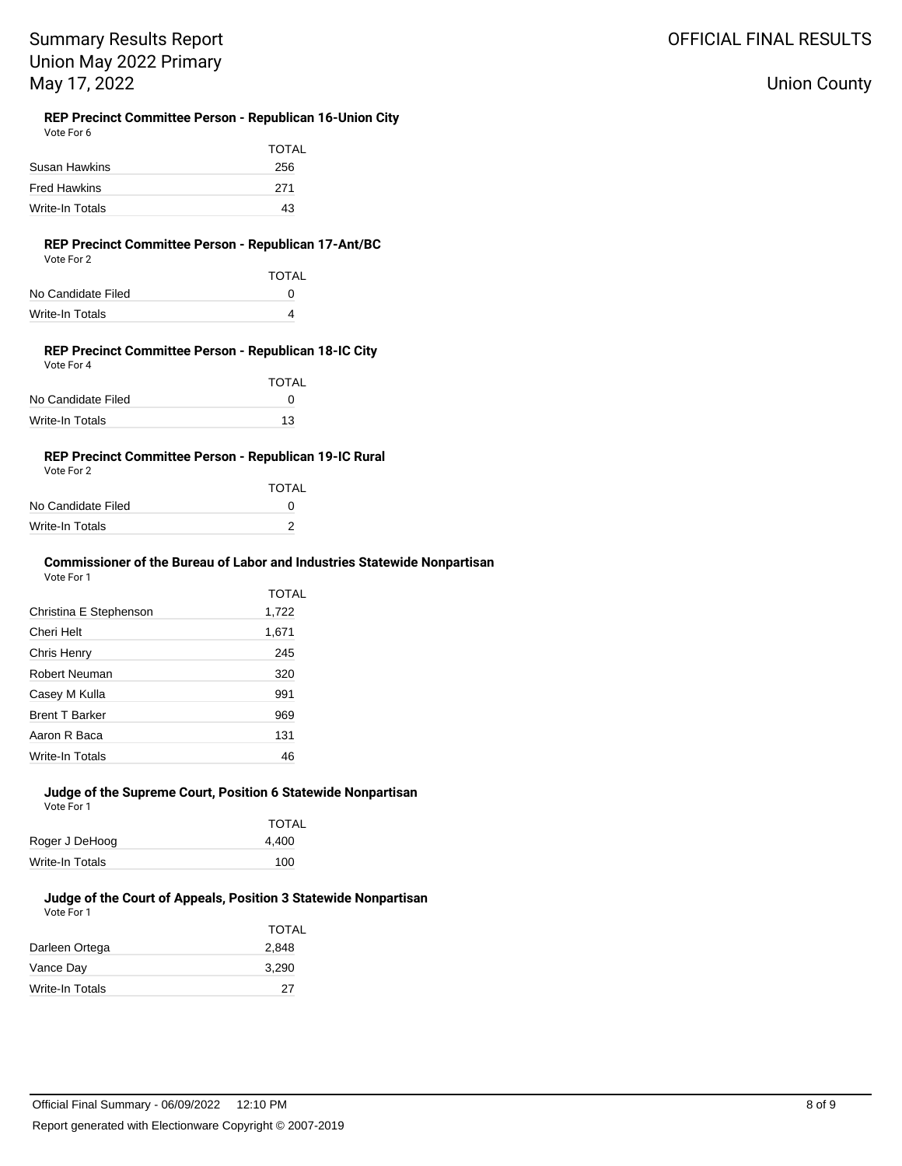#### **REP Precinct Committee Person - Republican 16-Union City** Vote For 6

| <b>VULLET ULL U</b> |       |
|---------------------|-------|
|                     | TOTAL |
| Susan Hawkins       | 256   |
| <b>Fred Hawkins</b> | 271   |
| Write-In Totals     | 43    |
|                     |       |

#### **REP Precinct Committee Person - Republican 17-Ant/BC** Vote For 2

|                    | TOTAL |
|--------------------|-------|
| No Candidate Filed | n     |
| Write-In Totals    |       |

#### **REP Precinct Committee Person - Republican 18-IC City** Vote For 4

|                    | <b>TOTAL</b> |
|--------------------|--------------|
| No Candidate Filed | O            |
| Write-In Totals    | 13           |

### **REP Precinct Committee Person - Republican 19-IC Rural**

| Vote For 2         |              |
|--------------------|--------------|
|                    | <b>TOTAL</b> |
| No Candidate Filed | O            |
| Write-In Totals    |              |
|                    |              |

#### **Commissioner of the Bureau of Labor and Industries Statewide Nonpartisan** Vote For 1

|                        | TOTAL |
|------------------------|-------|
| Christina E Stephenson | 1,722 |
| Cheri Helt             | 1,671 |
| Chris Henry            | 245   |
| Robert Neuman          | 320   |
| Casey M Kulla          | 991   |
| <b>Brent T Barker</b>  | 969   |
| Aaron R Baca           | 131   |
| Write-In Totals        | 46    |

#### **Judge of the Supreme Court, Position 6 Statewide Nonpartisan** Vote For 1

|                 | <b>TOTAL</b> |
|-----------------|--------------|
| Roger J DeHoog  | 4,400        |
| Write-In Totals | 100          |

# **Judge of the Court of Appeals, Position 3 Statewide Nonpartisan**

| Vote For 1 |  |
|------------|--|

| <b>TOTAL</b> |
|--------------|
| 2,848        |
| 3,290        |
| 27           |
|              |